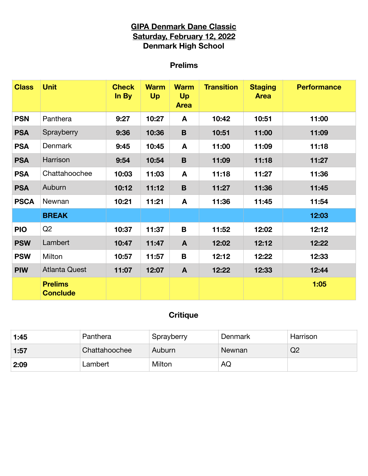## **GIPA Denmark Dane Classic Saturday, February 12, 2022 Denmark High School**

# **Prelims**

| <b>Class</b> | <b>Unit</b>                       | <b>Check</b><br>In By | <b>Warm</b><br><b>Up</b> | <b>Warm</b><br><b>Up</b><br><b>Area</b> | <b>Transition</b> | <b>Staging</b><br><b>Area</b> | <b>Performance</b> |
|--------------|-----------------------------------|-----------------------|--------------------------|-----------------------------------------|-------------------|-------------------------------|--------------------|
| <b>PSN</b>   | Panthera                          | 9:27                  | 10:27                    | A                                       | 10:42             | 10:51                         | 11:00              |
| <b>PSA</b>   | Sprayberry                        | 9:36                  | 10:36                    | B                                       | 10:51             | 11:00                         | 11:09              |
| <b>PSA</b>   | <b>Denmark</b>                    | 9:45                  | 10:45                    | A                                       | 11:00             | 11:09                         | 11:18              |
| <b>PSA</b>   | Harrison                          | 9:54                  | 10:54                    | $\mathbf B$                             | 11:09             | 11:18                         | 11:27              |
| <b>PSA</b>   | Chattahoochee                     | 10:03                 | 11:03                    | A                                       | 11:18             | 11:27                         | 11:36              |
| <b>PSA</b>   | Auburn                            | 10:12                 | 11:12                    | B                                       | 11:27             | 11:36                         | 11:45              |
| <b>PSCA</b>  | Newnan                            | 10:21                 | 11:21                    | A                                       | 11:36             | 11:45                         | 11:54              |
|              | <b>BREAK</b>                      |                       |                          |                                         |                   |                               | 12:03              |
| <b>PIO</b>   | Q2                                | 10:37                 | 11:37                    | B                                       | 11:52             | 12:02                         | 12:12              |
| <b>PSW</b>   | Lambert                           | 10:47                 | 11:47                    | $\mathbf{A}$                            | 12:02             | 12:12                         | 12:22              |
| <b>PSW</b>   | Milton                            | 10:57                 | 11:57                    | B                                       | 12:12             | 12:22                         | 12:33              |
| <b>PIW</b>   | <b>Atlanta Quest</b>              | 11:07                 | 12:07                    | $\mathbf{A}$                            | 12:22             | 12:33                         | 12:44              |
|              | <b>Prelims</b><br><b>Conclude</b> |                       |                          |                                         |                   |                               | 1:05               |

# **Critique**

| 1:45 | Panthera      | Sprayberry | Denmark | Harrison |
|------|---------------|------------|---------|----------|
| 1:57 | Chattahoochee | Auburn     | Newnan  | Q2       |
| 2:09 | _ambert       | Milton     | AQ      |          |